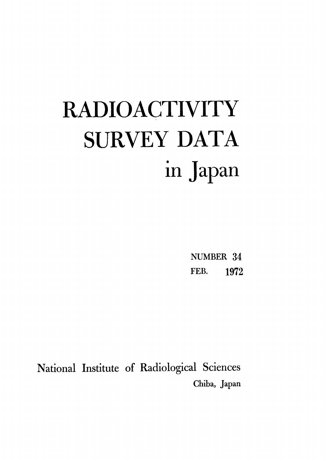# **RADIOACTIVITY SURVEY DATA** in Japan

NUMBER 34 FEB. 1972

National Institute of Radiological Sciences Chiba, Japan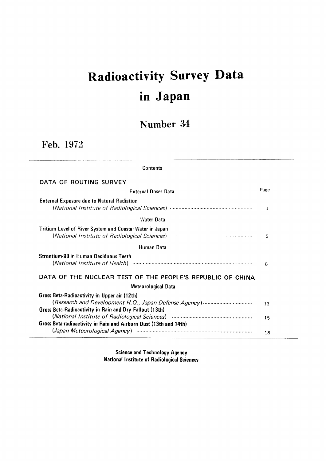## Radioactivity Survey Data inJapan

### Number 34

Feb.1972

| Contents                                                          |      |
|-------------------------------------------------------------------|------|
| DATA OF ROUTING SURVEY                                            |      |
| <b>External Doses Data</b>                                        | Page |
| <b>External Exposure due to Natural Radiation</b>                 | 1    |
| <b>Water Data</b>                                                 |      |
| <b>Tritium Level of River System and Coastal Water in Japan</b>   | 5    |
| Human Data                                                        |      |
| <b>Strontium-90 in Human Deciduous Teeth</b>                      | 8    |
| DATA OF THE NUCLEAR TEST OF THE PEOPLE'S REPUBLIC OF CHINA        |      |
| <b>Meteorological Data</b>                                        |      |
| Gross Beta-Radioactivity in Upper air (12th)                      |      |
|                                                                   | 13   |
| Gross Beta-Radioactivity in Rain and Dry Fallout (13th)           |      |
|                                                                   | 15   |
| Gross Beta-radioactivity in Rain and Airborn Dust (13th and 14th) |      |
|                                                                   | 18   |

**Science and Technology Agency National Institute of Radiological Sciences**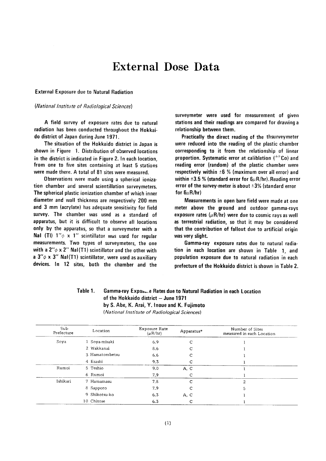### **External Dose Data**

#### **External Exposure due to Natural Radiation**

#### (National Institute of Radiological Sciences)

A field survey of exposure rates due to natural radiation has been conducted throughout the Hokkaido district of Japan during June 1971.

The situation of the Hokkaido district in Japan is shown in Figure 1. Distribution of observed locations in the district is indicated in Figure 2. In each location, from one to five sites containing at least 5 stations were made there. A total of 81 sites were measured.

Observations were made using a spherical ionization chamber and several scientillation surveymeters. The spherical plastic ionization chamber of which inner diameter and wall thickness are respectively 200 mm and 3 mm (acrylate) has adequate sensitivity for field survey. The chamber was used as a standard of apparatus, but it is difficult to observe all locations only by the apparatus, so that a surveymeter with a **Nal (TI)**  $1''\phi \times 1''$  scintillator was used for regular measurements. Two types of surveymeters, the one with a  $2''\phi \times 2''$  NaI(T1) scintillator and the other with a  $3''\phi \times 3''$  Nal(T1) scintillator, were used as auxiliary devices. In 12 sites, both the chamber and the

surveymeter were used for measurement of given stations and their readings are compared for drawing a relationship between them.

Practically the direct reading of the thsurveymeter were reduced into the reading of the plastic chamber corresponding to it from the relationship of linear proportion. Systematic error at caliblation  $(^{60}Co)$  and reading error (random) of the plastic chamber were respectively within  $\pm 6$  % (maximum over all error) and within  $\pm 3.5$  % (standard error for  $6\mu R/hr$ ). Reading error error of the survey-meter is about  $\pm 3\%$  (standard error for  $6\mu$ R/hr)

Measurements in open bare field were made at one meter above the ground and outdoor gamma-rays exposure rates ( $\mu$ R/hr) were due to cosmic rays as well as terrestrial radiation, so that it may be considered that the contribution of fallout due to artificial origin was very slight.

Gamma-ray exposure rates due to natural radiation in each location are shown in Table 1, and population exposure due to natural radiation in each prefecture of the Hokkaido district is shown in Table 2.

#### Table 1. Gamma-ray Exposule Rates due to Natural Radiation in each Location of the Hokkaido district - June 1971 by S. Abe, K. Arai, Y. Inoue and K. Fujimoto (National Institute of Radiological Sciences)

| Sub-<br>Prefecture | Location       | Exposure Rate<br>$(\mu R/hr)$ | Apparatus* | Number of Sites<br>measured in each Location |
|--------------------|----------------|-------------------------------|------------|----------------------------------------------|
| Soya               | 1 Soya-misaki  | 6.9                           | C          |                                              |
|                    | 2 Wakkanai     | 8.6                           | C          |                                              |
|                    | 3 Hamatombetsu | 6.6                           | C          |                                              |
|                    | 4 Esashi       | 9.3                           |            |                                              |
| Rumoi              | 5 Teshio       | 9.0                           | A, C       |                                              |
|                    | 6 Rumoi        | 7.9                           | С          |                                              |
| Ishikari           | 7 Hamamasu     | 7.8                           | C          | $\mathfrak{D}$                               |
|                    | 8 Sapporo      | 7.9                           | С          | 5                                            |
|                    | 9 Shikotsu-ko  | 6.3                           | A, C       |                                              |
|                    | 10 Chitose     | 6.3                           | с          |                                              |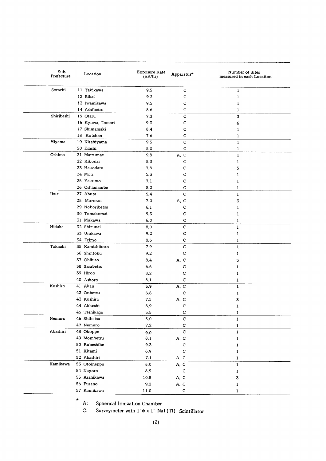| Sub-<br>Prefecture | Location         | Exposure Rate<br>$(\mu R/hr)$ | Apparatus*              | Number of Sites<br>measured in each Location |
|--------------------|------------------|-------------------------------|-------------------------|----------------------------------------------|
| Sorachi            | 11 Takikawa      | 9.5                           | C                       | $\bf{l}$                                     |
|                    | 12 Bibai         | 9.2                           | C                       | 1                                            |
|                    | 13 Iwamizawa     | 9.5                           | C                       | 1                                            |
|                    | 14 Ashibetsu     | 8.6                           | C                       | 1                                            |
| Shiribeshi         | 15 Otaru         | 7.3                           | C                       | 3                                            |
|                    | 16 Kyowa, Tomari | 9.3                           | С                       | 6                                            |
|                    | 17 Shimamaki     | 8.4                           | с                       | 1                                            |
|                    | 18 Kutchan       | 7.6                           | $\mathsf C$             | 1                                            |
| Hiyama             | 19 Kitahiyama    | 9.5                           | C                       | $\mathbf{1}$                                 |
|                    | 20 Esashi        | 8.0                           | $\mathsf C$             | 1                                            |
| Oshima             | 21 Matsumae      | 9.8                           | A, C                    | ı                                            |
|                    | 22 Kikonai       | 8.3                           | C                       | ı                                            |
|                    | 23 Hakodate      | 7.8                           | C                       | 5                                            |
|                    | 24 Mori          | 5,3                           | С                       | ı                                            |
|                    | 25 Yakumo        | 7.1                           | C                       | ı                                            |
|                    | 26 Oshamambe     | 8.2                           | С                       | 1                                            |
| Iburi              | 27 Abuta         | 5.4                           | C                       | 1                                            |
|                    | 28 Muroran       | 7.0                           | A, C                    | 3                                            |
|                    | 29 Noboribetsu   | 6.1                           | С                       | ı                                            |
|                    | 30 Tomakomai     | 9.3                           | C                       | 1                                            |
|                    | 31 Mukawa        | 6.0                           | C                       | 1                                            |
| Hidaka             | 32 Shizunai      | 8.0                           | C                       | $\mathbf{I}$                                 |
|                    | 33 Urakawa       | 9.2                           | C                       | 1                                            |
|                    | 34 Erimo         | 8.6                           | C                       | 1                                            |
| Tokachi            | 35 Kamishihoro   | 7.9                           | C                       | 1                                            |
|                    | 36 Shintoku      | 9.2                           | C                       | 1                                            |
|                    | 37 Obihiro       | 8.4                           | A, C                    | 3                                            |
|                    | 38 Sarabetsu     | 6.6                           | с                       | 1                                            |
|                    | 39 Hiroo         | 8.2                           | с                       | 1                                            |
|                    | 40 Ashoro        | 8.1                           | $\mathbf C$             | 1                                            |
| Kushiro            | 41 Akan          | 5.9                           | $A, \overline{C}$       | 1                                            |
|                    | 42 Onbetsu       | 6.6                           | $\mathbf C$             | 1                                            |
|                    | 43 Kushiro       | 7.5                           | A, C                    | 3                                            |
|                    | 44 Akkeshi       | 8.9                           | c                       | 1                                            |
|                    | 45 Teshikaga     | 5.5                           | $\mathbf C$             | 1                                            |
| Nemuro             | 46 Shibetsu      | 5.0                           | $\mathbf C$             | $\mathbf 1$                                  |
|                    | 47 Nemuro        | $\bf 7.2$                     | $\mathbf C$             | $\mathbf{I}$                                 |
| Abashiri           | 48 Okoppe        | 9.0                           | $\overline{\mathsf{C}}$ | 1                                            |
|                    | 49 Mombetsu      | 8.1                           | A, C                    | ı                                            |
|                    | 50 Rubeshibe     | 9.3                           | $\mathbf C$             | 1                                            |
|                    | 51 Kitami        | 6.9                           | $\mathbf C$             | 1                                            |
|                    | 52 Abashiri      | 7.1                           | A, C                    | 1                                            |
| Kamikawa           | 53 Otoineppu     | 8.0                           | A, C                    | $\mathbf{1}$                                 |
|                    | 54 Nayoro        | 8.9                           | $\mathbf C$             | 1                                            |
|                    | 55 Asahikawa     | 10.8                          | A, C                    | 3                                            |
|                    | 56 Furano        | 9.2                           | A, C                    | 1                                            |
|                    | 57 Kamikawa      | 11.0                          | $\mathbf C$             | 1                                            |

 $\star$ A: Spherical Ionization Chamber

Surveymeter with  $1''\phi \times 1''$  NaI (Tl) Scintillator  $C:$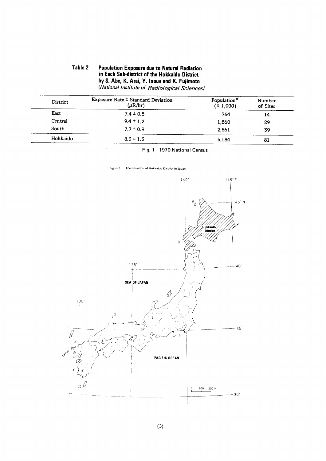#### **Table 2 Population Exposure due to Natural Radiation** in Each Sub-district of the Hokkaido District by S. Abe, K. Arai, Y. Inoue and K. Fujimoto (National Institute of Radiological Sciences)

| District | Exposure Rate ± Standard Deviation<br>$(\mu R/hr)$ | Population*<br>(X 1,000) | Number<br>of Sites |
|----------|----------------------------------------------------|--------------------------|--------------------|
| East     | $7.4 \pm 0.8$                                      | 764                      | 14                 |
| Central  | $9.4 \pm 1.2$                                      | 1,860                    | 29                 |
| South    | $7.7 \pm 0.9$                                      | 2.561                    | 39                 |
| Hokkaido | $8.3 \pm 1.3$                                      | 5,184                    | 81                 |

Fig. 1 1970 National Census

Figure 1: The Situation of Hokkaido District in Japan

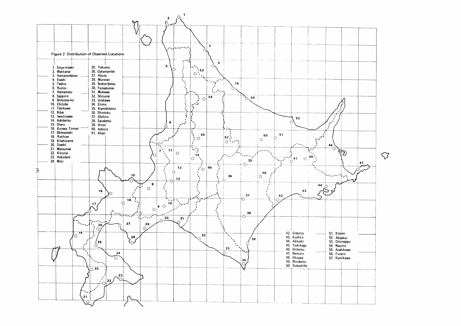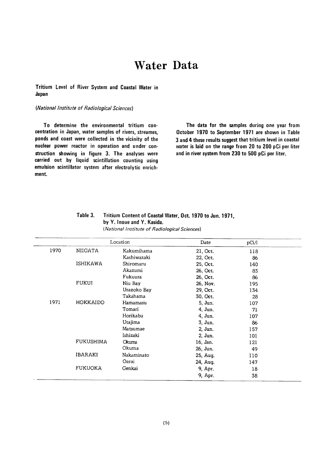### **Water Data**

Tritium Level of River System and Coastal Water in Japan

#### (National Institute of Radiological Sciences)

To determine the environmental tritium concentration in Japan, water samples of rivers, streames, ponds and coast were collected in the vicinity of the nuclear power reactor in operation and under construction showing in figure 3. The analyses were carried out by liquid scintillation counting using emulsion scintillator system after electrolytic enrichment.

The data for the samples during one year from October 1970 to September 1971 are shown in Table 3 and 4 these results suggest that tritium level in coastal water is laid on the range from 20 to 200 pCi per liter and in river system from 230 to 500 pCi per liter.

| Table 3. | <b>Tritium Content of Coastal Water, Oct. 1970 to Jun. 1971,</b> |
|----------|------------------------------------------------------------------|
|          | by Y. Inoue and Y. Kasida.                                       |
|          |                                                                  |

| (National Institute of Radiological Sciences) |  |
|-----------------------------------------------|--|
|-----------------------------------------------|--|

|      |                 | Location    | Date     | pCi/l |  |
|------|-----------------|-------------|----------|-------|--|
| 1970 | <b>NIIGATA</b>  | Kakumihama  | 21, Oct. | 118   |  |
|      |                 | Kashiwazaki | 22, Oct. | 86    |  |
|      | <b>ISHIKAWA</b> | Shiromaru   | 25, Oct. | 140   |  |
|      |                 | Akazumi     | 26, Oct. | 83    |  |
|      |                 | Fukuura     | 26, Oct. | 86    |  |
|      | FUKUI           | Niu Bay     | 26, Nov. | 195   |  |
|      |                 | Urazoko Bay | 29, Oct. | 134   |  |
|      |                 | Takahama    | 30, Oct. | 28    |  |
| 1971 | HOKKAIDO        | Hamamasu    | 5, Jun.  | 107   |  |
|      |                 | Tomari      | 4, Jun.  | 71    |  |
|      |                 | Horikabu    | 4, Jun.  | 107   |  |
|      |                 | Utajima     | 3, Jun.  | 86    |  |
|      |                 | Matsumae    | 2, Jun.  | 157   |  |
|      |                 | Ishizaki    | 2, Jun.  | 101   |  |
|      | FUKUSHIMA       | Okuma       | 16, Jan. | 121   |  |
|      |                 | Okuma       | 26, Jun. | 49    |  |
|      | IBARAKI         | Nakaminato  | 25, Aug. | 110   |  |
|      |                 | Oarai       | 24, Aug. | 147   |  |
|      | <b>FUKUOKA</b>  | Genkai      | 9, Apr.  | 18    |  |
|      |                 |             | 9, Apr.  | 38    |  |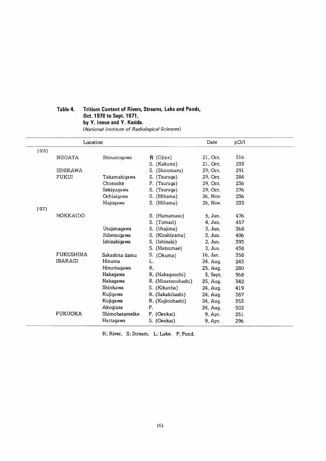#### Table 4. Tritium Content of Rivers, Streams, Lake and Ponds, Oct. 1970 to Sept. 1971, by Y. Inoue and Y. Kasida. (National Institute of Radiological Sciences)

|      | Location         |                |                    | Date     | pCi/1 |
|------|------------------|----------------|--------------------|----------|-------|
| 1970 |                  |                |                    |          |       |
|      | <b>NIIGATA</b>   | Shinanoqawa    | $R$ (Ojiya)        | 21, Oct. | 316   |
|      |                  |                | S. (Kakumi)        | 21, Oct. | 233   |
|      | <b>ISHIKAWA</b>  |                | S. (Shiromaru)     | 29, Oct. | 291   |
|      | <b>FUKUI</b>     | Takamakigawa   | S.<br>(Tsuruga)    | 29, Oct. | 284   |
|      |                  | Chonoike       | P. (Tsuruga)       | 29, Oct. | 236   |
|      |                  | Sekiyagawa     | S. (Tsuruga)       | 29, Oct. | 276   |
|      |                  | Ochiaigawa     | S. (Mihama)        | 26, Nov. | 236   |
|      |                  | Majogawa       | S. (Mihama)        | 26, Nov. | 233   |
| 1971 |                  |                |                    |          |       |
|      | HOKKAIDO         |                | S. (Hamamasu)      | 5, Jun.  | 476   |
|      |                  |                | S. (Tomari)        | 4, Jun.  | 457   |
|      |                  | Utajimagawa    | S. (Utajima)       | 3, Jun.  | 368   |
|      |                  | Ribetsugawa    | S. (Kitahiyama)    | 3, Jun.  | 406   |
|      |                  | Ishizakigawa   | S. (Ishizaki)      | 2, Jun.  | 393   |
|      |                  |                | S. (Matsumae)      | 2, Jun.  | 438   |
|      | <b>FUKUSHIMA</b> | Sakashita damu | S. (Okuma)         | 16. Jan. | 358   |
|      | <b>IBARAGI</b>   | Hinuma         | L.                 | 24. Aug. | 243   |
|      |                  | Hinumagawa     | R.                 | 25. Aug. | 280   |
|      |                  | Nakagawa       | R. (Nakagouchi)    | 3, Sept. | 368   |
|      |                  | Nakagawa       | R. (Minatooohashi) | 25, Aug. | 342   |
|      |                  | Shinkawa       | S. (Kikanba)       | 24, Aug. | 419   |
|      |                  | Kujigawa       | R. (Sakakibashi)   | 24, Aug. | 387   |
|      |                  | Kujigawa       | R. (Kujioohashi)   | 24, Aug. | 353   |
|      |                  | Akogura        | Ρ.                 | 24, Aug. | 502   |
|      | <b>FUKUOKA</b>   | Shimobatameike | P. (Genkai)        | 9, Apr.  | 251   |
|      |                  | Hattagawa      | S. (Genkai)        | 9, Apr.  | 296   |

R; River, S; Stream, L; Lake, P; Pond.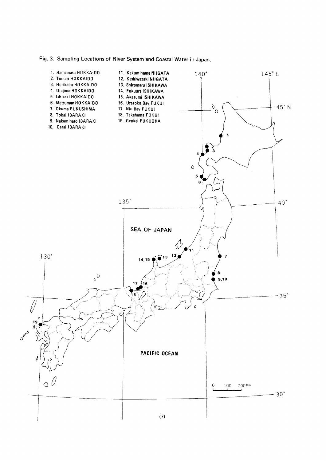Fig. 3. Sampling Locations of River System and Coastal Water in Japan.

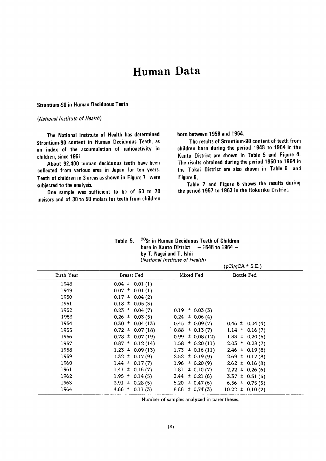### Human Data

#### Strontium-90 in Human Deciduous Teeth

#### (National Institute of Health)

The National Institute of Health has determined Strontium-90 content in Human Deciduous Teeth, as an index of the accumulation of radioactivity in children, since 1961.

About 92,400 human deciduous teeth have been collected from various area in Japan for ten years. Teeth of children in 3 areas as shown in Figure 7 were subjected to the analysis.

One sample was sufficient to be of 50 to 70 incisors and of 30 to 50 molars for teeth from children born between 1958 and 1964.

The results of Strontium-90 content of teeth from children born during the period 1948 to 1964 in the Kanto District are shown in Table 5 and Figure 4. The risults obtained during the period 1950 to 1964 in the Tokai District are also shown in Table 6 and Figure 5.

Table 7 and Figure 6 shows the results during the period 1957 to 1963 in the Hokuriku District.

| Table 5. |                          | <sup>90</sup> Sr in Human Deciduous Teeth of Children |
|----------|--------------------------|-------------------------------------------------------|
|          |                          | born in Kanto District $-1648$ to 1964 $-$            |
|          | by T. Nagai and T. Ishii |                                                       |
|          |                          | (National Institute of Health)                        |

| (National Institute of Health) |  |
|--------------------------------|--|
|                                |  |

|            |                      |                            | $(pCi/qCA \pm S.E.)$ |  |
|------------|----------------------|----------------------------|----------------------|--|
| Birth Year | Breast Fed           | Mixed Fed                  | Bottle Fed           |  |
| 1948       | $0.04 \pm 0.01$ (1)  |                            |                      |  |
| 1949       | $0.07 \pm 0.01$ (1)  |                            |                      |  |
| 1950       | $0.17 \pm 0.04$ (2)  |                            |                      |  |
| 1951       | $0.18 \pm 0.05(3)$   |                            |                      |  |
| 1952       | $0.23 \pm 0.04(7)$   | $0.19 \pm 0.03(3)$         |                      |  |
| 1953       | $0.26 \pm 0.03(5)$   | $0.24 \pm 0.06(4)$         |                      |  |
| 1954       | $0.30 \pm 0.04$ (13) | $0.45 \pm 0.09(7)$         | $0.46 \pm 0.04(4)$   |  |
| 1955       | $0.72 \pm 0.07(18)$  | $0.88 \pm 0.13(7)$         | $1.14 \pm 0.16(7)$   |  |
| 1956       | $0.78 \pm 0.07$ (19) | $\pm$ 0.08 (12)<br>$0.99-$ | $1.33 \pm 0.20(5)$   |  |
| 1957       | $0.87 \pm 0.12(14)$  | $\pm$ 0.20 (11)<br>1.58    | $2.03 \pm 0.28(7)$   |  |
| 1958       | $1.23 \pm 0.09(13)$  | $1.73 \pm 0.16(11)$        | $2.46 \pm 0.19(8)$   |  |
| 1959       | $1.32 \pm 0.17(9)$   | $2.52 \pm 0.19(9)$         | $2.69 \pm 0.17(8)$   |  |
| 1960       | $1.44 \pm 0.17(7)$   | 1.96 $\pm$ 0.20 (9)        | $2.62 \pm 0.16(8)$   |  |
| 1961       | $1.41 \pm 0.16(7)$   | 1.81<br>± 0.10(7)          | $2.22 \pm 0.26(6)$   |  |
| 1962       | $1.95 \pm 0.14(5)$   | $3.44 \pm 0.21(6)$         | $3.37 \pm 0.31(5)$   |  |
| 1963       | $3.91 \pm 0.28(5)$   | $\pm 0.47(6)$<br>6.20      | 6.56 $\pm$ 0.75 (5)  |  |
| 1964       | $4.66 \pm 0.11(3)$   | 8.88<br>$\pm$ 0.74 (3)     | $10.22 \pm 0.10(2)$  |  |

Number of samples analyzed in parentheses.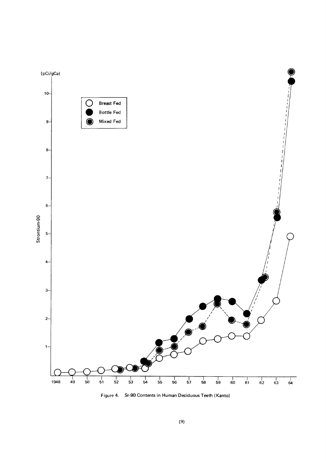

Figure 4. Sr-90 Contents in Human Deciduous Teeth (Kanto)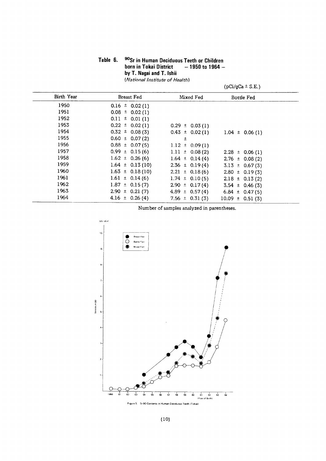| Table 6. | <sup>90</sup> Sr in Human Deciduous Teeth or Children |
|----------|-------------------------------------------------------|
|          | born in Tokai District<br>$-1950$ to 1964 $-$         |
|          | by T. Nagai and T. Ishii                              |
|          | (National Institute of Health)                        |

| Birth Year | Breast Fed          | Mixed Fed           | Bottle Fed          |
|------------|---------------------|---------------------|---------------------|
| 1950       | $0.16 \pm 0.02$ (1) |                     |                     |
| 1951       | $0.08 \pm 0.02(1)$  |                     |                     |
| 1952       | $0.11 \pm 0.01(1)$  |                     |                     |
| 1953       | $0.22 \pm 0.02(1)$  | $0.29 \pm 0.03$ (1) |                     |
| 1954       | $0.32 \pm 0.08(3)$  | $0.43 \pm 0.02(1)$  | $1.04 \pm 0.06$ (1) |
| 1955       | $0.60 \pm 0.07(2)$  | Ŧ                   |                     |
| 1956       | $0.88 \pm 0.07(5)$  | $1.12 \pm 0.09(1)$  |                     |
| 1957       | $0.99 \pm 0.15(6)$  | $1.11 \pm 0.08(2)$  | $2.28 \pm 0.06$ (1) |
| 1958       | $1.62 \pm 0.26(6)$  | $1.64 \pm 0.14(4)$  | $2.76 \pm 0.08(2)$  |
| 1959       | $1.64 \pm 0.13(10)$ | $2.36 \pm 0.19(4)$  | $3.13 \pm 0.67(3)$  |
| 1960       | $1.63 \pm 0.18(10)$ | $2.21 \pm 0.18(6)$  | $2.80 \pm 0.19(3)$  |
| 1961       | $1.61 \pm 0.14(6)$  | $1.74 \pm 0.10(5)$  | $2.18 \pm 0.13(2)$  |
| 1962       | $1.87 \pm 0.15(7)$  | $2.90 \pm 0.17(4)$  | $3.54 \pm 0.46(3)$  |
| 1963       | $2.90 \pm 0.21(7)$  | $4.89 \pm 0.57(4)$  | $6.84 \pm 0.47(5)$  |
| 1964       | $4.16 \pm 0.26(4)$  | 7.56 $\pm$ 0.31 (3) | $10.09 \pm 0.51(3)$ |

Number of samples analyzed in parentheses.

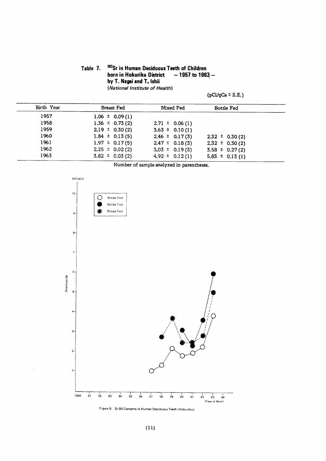#### 90Sr in Human Deciduous Teeth of Children Table 7. born in Hokuriku District  $-1957$  to 1963  $$ by T. Nagai and T. Ishii (National Institute of Health)

 $(pCi/gCa \pm S.E.)$ 

| Birth Year | <b>Breast Fed</b>  | Mixed Fed          | <b>Bottle Fed</b>  |  |
|------------|--------------------|--------------------|--------------------|--|
| 1957       | $1.06 \pm 0.09(1)$ |                    |                    |  |
| 1958       | $1.36 \pm 0.73(2)$ | $2.71 \pm 0.06(1)$ |                    |  |
| 1959       | $2.19 \pm 0.30(2)$ | $3.63 \pm 0.10(1)$ |                    |  |
| 1960       | $1.84 \pm 0.13(5)$ | $2.46 \pm 0.17(3)$ | $2.32 \pm 0.30(2)$ |  |
| 1961       | $1.97 \pm 0.17(5)$ | $2.47 \pm 0.18(3)$ | $2.32 \pm 0.30(2)$ |  |
| 1962       | $2.25 \pm 0.02(2)$ | $3.03 \pm 0.19(3)$ | $3.58 \pm 0.27(2)$ |  |
| 1963       | $3.82 \pm 0.03(2)$ | $4.92 \pm 0.12(1)$ | $5.83 \pm 0.13(1)$ |  |

Number of sample analyzed in parentheses.



Figure 6. Sr-90 Contents in Human Deciduous Teeth (Hokuriku)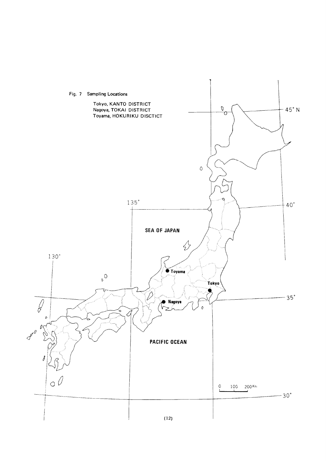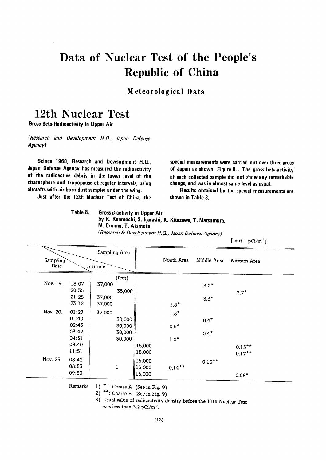### Data of Nuclear Test of the People's Republic of China

Meteorological Data

### 12th Nuclear Test

**Gross Beta-Radioactivity in Upper Air** 

(Research and Development H.Q., Japan Defense Agency)

Scince 1960, Research and Development H.Q., Japan Defense Agency has measured the radioactivity of the radioactive debris in the lower level of the stratosphere and tropopause at regular intervals, using aircrafts with air-born dust sampler under the wing.

Just after the 12th Nuclear Test of China, the

special measurements were carried out over three areas of Japan as shown Figure 8.. The gross beta-activity of each collected sample did not show any remarkable change, and was in almost same level as usual.

Results obtained by the special measurements are shown in Table 8.

Table 8. Gross  $\beta$ -activity in Upper Air by K. Kenmochi, S. Igarashi, K. Kitazawa, T. Matsumura, M. Onuma, T. Akimoto (Research & Development H.Q., Japan Defense Agency)

 $[unit = pCi/m^3]$ 

|                  |                                  | Sampling Area    |                            |                            |                            |                  |                        |
|------------------|----------------------------------|------------------|----------------------------|----------------------------|----------------------------|------------------|------------------------|
| Sampling<br>Date |                                  | Altitude         |                            |                            | Noath Area                 | Middle Area      | Western Area           |
| Nov. 19,         | 18:07<br>20:35<br>21:28<br>23:12 | 37,000<br>37,000 | (feet)<br>35,000           |                            |                            | $3.2*$<br>$3.3*$ | $3.7*$                 |
| Nov. 20.         | 01:27<br>01:40<br>02:43<br>03:42 | 37,000<br>37,000 | 30,000<br>30,000<br>30,000 |                            | $1.8*$<br>$1.8*$<br>$0.6*$ | $0.4*$<br>$0.4*$ |                        |
|                  | 04:51<br>08:40<br>11:51          |                  | 30,000                     | 18,000<br>18,000           | $1.0*$                     |                  | $0.15***$<br>$0.17***$ |
| Nov. 25.         | 08:42<br>08:53<br>09:30          |                  | 1                          | 16,000<br>16,000<br>16,000 | $0.14***$                  | $0.10***$        | $0.08*$                |

Remarks

1)  $*$  : Corase A (See in Fig. 9) 2) \*\*: Coarse B (See in Fig. 9)

3) Usual value of radioactivity density before the 11th Nuclear Test was less than  $3.2$  pCi/m<sup>3</sup>.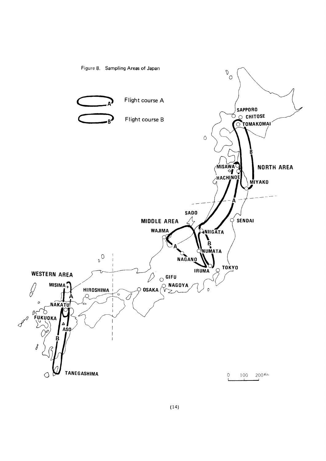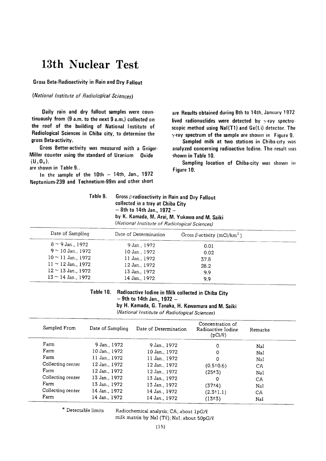### 13th Nuclear Test

**Gross Beta-Radioactivity in Rain and Dry Fallout** 

#### (National Institute of Radiological Sciences)

Daily rain and dry fallout samples were countinuausly from (9 a.m. to the next 9 a.m.) collected on the roof of the building of National Institute of Radiological Sciences in Chiba city, to determine the gross Beta-activity.

Gross Better-activity was measured with a Geiger-Miller counter using the standard of Uranium Oxide  $(U_3O_8)$ .

are shown in Table 9..

In the sample of the  $10th - 14th$ , Jan., 1972 Neptunium-239 and Technetium-99m and other short

are Results obtained during 8th to 14th, January 1972 lived radionuclides were detected by  $\gamma$ -ray spectroscopic method using NaI(T1) and Ge(Li) detector. The  $\gamma$ -ray spectrum of the sample are shown in Figure 9.

Sampled milk at two stations in Chiba-city was analyzed concerning radioactive lodine. The result was shown in Table 10.

Sampling location of Chiba-city was shown in Figure 10.

| Table 9. | Gross $\beta$ -radioactivity in Rain and Dry Fallout<br>collected in a tray at Chiba City |
|----------|-------------------------------------------------------------------------------------------|
|          | $-8$ th to 14th Jan., 1972 $-$<br>by K. Kamada, M. Arai, M. Yukawa and M. Saiki           |
|          | (National Institute of Radiological Sciences)                                             |

| Date of Sampling        | Date of Determination | Gross $\beta$ -activity (mCi/km <sup>2</sup> ) |  |
|-------------------------|-----------------------|------------------------------------------------|--|
| $8 \sim 9$ Jan., 1972   | 9 Jan., 1972          | 0.01                                           |  |
| $9 \sim 10$ Jan., 1972  | 10 Jan., 1972         | 0.02                                           |  |
| $10 \sim 11$ Jan., 1972 | 11 Jan., 1972         | 37.8                                           |  |
| $11 \sim 12$ Jan., 1972 | 12 Jan., 1972         | 28.2                                           |  |
| $12 \sim 13$ Jan., 1972 | 13 Jan., 1972         | 9.9                                            |  |
| $13 \sim 14$ Jan., 1972 | 14 Jan., 1972         | 9.9                                            |  |

Table 10. Radioactive lodine in Milk collected in Chiba City  $-9$ th to 14th Jan., 1972  $-$ 

by H. Kamada, G. Tanaka, H. Kawamura and M. Saiki

(National Institute of Radiological Sciences)

| Sampled From      | Date of Sampling | Date of Determination | Concentration of<br>Radioactive Iodine<br>$(pCi/\ell)$ | Remarke |  |
|-------------------|------------------|-----------------------|--------------------------------------------------------|---------|--|
| Farm              | 9 Jan., 1972     | 9 Jan., 1972          | 0                                                      | Nal     |  |
| Farm              | 10 Jan., 1972    | 10 Jan., 1972         | 0                                                      | NaI     |  |
| Farm              | 11 Jan., 1972    | 11 Jan., 1972         | 0                                                      | NaI     |  |
| Collecting center | 12 Jan., 1972    | 12 Jan., 1972         | $(0.5 \pm 0.6)$                                        | CA      |  |
| Farm              | 12 Jan., 1972    | 12 Jan., 1972         | (25±3)                                                 | NaI     |  |
| Collecting center | 13 Jan., 1972    | 13 Jan., 1972         | 0                                                      | CA      |  |
| Farm              | 13 Jan., 1972    | 13 Jan., 1972         | (37±4)                                                 | NaI     |  |
| Collecting center | 14 Jan., 1972    | 14 Jan., 1972         | $(2.3 \pm 1.1)$                                        | CA      |  |
| Farm              | 14 Jan., 1972    | 14 Jan., 1972         | (13±3)                                                 | NaI     |  |

\* Detectable limits

Radiochemical analysis; CA; about 1pG/Q

milk matrix by NaI (Tl); NaI; about 50pG/l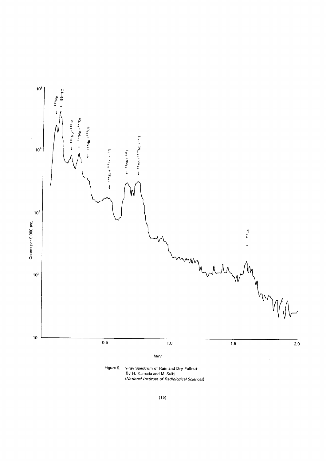

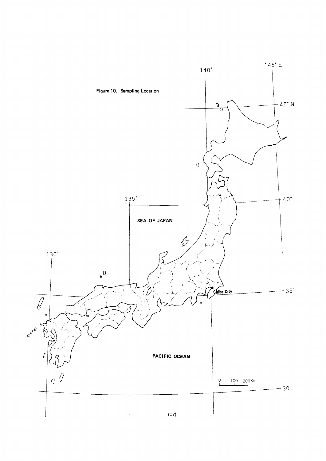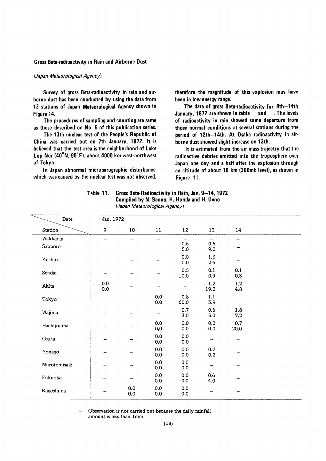#### **Gross Beta-radioactivity in Rain and Airborne Dust**

#### (Japan Meteorological Agency)

Survey of gross Beta-radioactivity in rain and airborne dust has been conducted by using the data from 13 stations of Japan Meteorological Agency shown in Figure 14.

The procedures of sampling and counting are same as those described on No. 5 of this publication series.

The 13th nuclear test of the People's Republic of China was carried out on 7th January, 1972. It is believed that the test area is the neighborhood of Lake Lop Nor (40°N, 90°E), about 4000 km west-northwest of Tokyo.

In Japan abnormal microbarographic disturbance which was caused by the nuclear test was not observed, therefore the magnitude of this explosion may have been in low energy range.

The data of gross Beta-radioactivity for 8th-14th and The levels January, 1972 are shown in table of radioactivity in rain showed some departure from those normal conditions at several stations during the period of 12th-14th. At Osaka radioactivity in airborne dust showed slight increase on 13th.

It is estimated from the air mass trajectry that the radioactive debries emitted into the troposphere over Japan one day and a half after the explosion through an altitude of about 10 km (300mb level), as shown in Figure 11.

| Table 11. | Gross Beta-Radioactivity in Rain, Jan. 9–14, 1972 |
|-----------|---------------------------------------------------|
|           | Compiled by N. Banno, H. Honda and H. Ueno        |
|           | (Japan Meteorological Agency)                     |

| Date         | Jan. 1972  |                          |                          |                                 |                                 |                          |  |
|--------------|------------|--------------------------|--------------------------|---------------------------------|---------------------------------|--------------------------|--|
| Station      | 9          | 10                       | 11                       | 12 <sup>2</sup>                 | 13                              | 14                       |  |
| Wakkanai     | шm.        | $\overline{\phantom{0}}$ | $\overline{\phantom{0}}$ | $\overline{\phantom{a}}$<br>0.6 | $\overline{\phantom{a}}$<br>0.6 | -                        |  |
| Sapporo      |            |                          |                          | 5.0                             | 9.0                             |                          |  |
| Kushiro      |            |                          |                          | 0.0<br>0.0                      | 1.3<br>2.6                      |                          |  |
| Sendai       | -          |                          |                          | 0.5<br>10.0                     | 0.1<br>0.9                      | 0.1<br>0.3               |  |
| Akita        | 0.0<br>0.0 |                          |                          |                                 | 1.2<br>19.0                     | 1.2<br>4.8               |  |
| Tokyo        |            |                          | 0.0<br>0.0               | 0.8<br>60.0                     | 1.1<br>3.9                      | $\overline{\phantom{0}}$ |  |
| Wajima       |            |                          | $\overline{\phantom{0}}$ | 0.7<br>3.0                      | 0.6<br>5.0                      | 1.8<br>7,2               |  |
| Hachijojima  |            |                          | 0.0<br>0.0               | 0.0<br>0.0                      | 0.0<br>0.0                      | 0.7<br>20.0              |  |
| Osaka        |            |                          | 0.0<br>0.0               | 0.0<br>0.0                      | -                               |                          |  |
| Yonago       |            |                          | 0.0<br>0.0               | 0.0<br>0.0                      | 0.2<br>0.2                      |                          |  |
| Murotomisaki |            |                          | 0.0<br>0.0               | 0.0<br>0.0                      | -                               |                          |  |
| Fukuoka      |            |                          | 0.0<br>0.0               | 0.0<br>0.0                      | 0.6<br>4.0                      |                          |  |
| Kagoshima    |            | 0.0<br>0.0               | 0.0<br>0.0               | 0.0<br>0.0                      |                                 |                          |  |

 $-$ : Observation is not carried out because the daily rainfall amount is less than 1mm.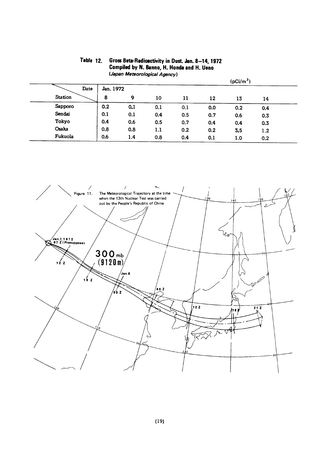|         |           |     |     |     |     | (pCi/m <sup>3</sup> ) |     |  |
|---------|-----------|-----|-----|-----|-----|-----------------------|-----|--|
| Date    | Jan. 1972 |     |     |     |     |                       |     |  |
| Station | 8         | 9   | 10  | 11  | 12  | 13                    | 14  |  |
| Sapporo | 0.2       | 0.1 | 0.1 | 0.1 | 0.0 | 0.2                   | 0.4 |  |
| Sendai  | 0.1       | 0.1 | 0.4 | 0.5 | 0.7 | 0.6                   | 0.3 |  |
| Tokyo   | 0.4       | 0.6 | 0.5 | 0.7 | 0.4 | 0.4                   | 0.3 |  |
| Osaka   | 0.8       | 0.8 | 1.1 | 0.2 | 0.2 | 3,5                   | 1.2 |  |
| Fukuola | 0.6       | 1.4 | 0.8 | 0.4 | 0.1 | 1.0                   | 0.2 |  |

#### Table 12. Gross Beta-Radioactivity in Dust. Jan. 8-14, 1972 Compiled by N. Banno, H. Honda and H. Ueno (Japan Meteorological Agency)

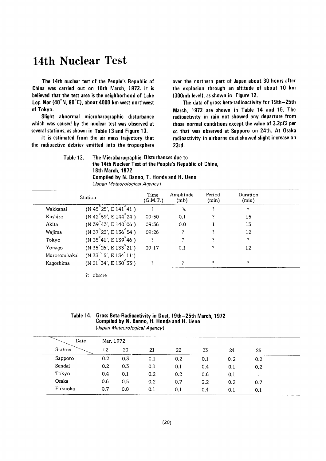### 14th Nuclear Test

The 14th nuclear test of the People's Republic of China was carried out on 18th March, 1972. It is believed that the test area is the neighborhood of Lake Lop Nor (40°N, 90°E), about 4000 km west-northwest of Tokyo.

Slight abnormal microbarographic disturbance which was caused by the nuclear test was observed at several stations, as shown in Table 13 and Figure 13.

It is estimated from the air mass trajectory that the radioactive debries emitted into the troposphere over the northern part of Japan about 30 hours after the explosion through an altitude of about 10 km (300mb level), as shown in Figure 12.

The data of gross beta-radioactivity for 19th-25th March, 1972 are shown in Table 14 and 15. The radioactivity in rain not showed any departure from those normal conditions except the value of 3.2pCi per cc that was observed at Sapporo on 24th. At Osaka radioactivity in airborne dust showed slight increase on 23rd.

The Microbarographic Disturbances due to Table 13. the 14th Nuclear Test of the People's Republic of China, 18th March, 1972 Compiled by N. Banno, T. Honda and H. Ueno (Japan Meteorological Agency)

|               | Station                               | Time<br>(G.M.T.) | Amplitude<br>(mb) | Period<br>(min) | Duration<br>(min) |
|---------------|---------------------------------------|------------------|-------------------|-----------------|-------------------|
| Wakkanai      | $(N 45^{\circ}25', E 141^{\circ}41')$ | 2                | $\frac{3}{4}$     | $\mathcal{P}$   | ?                 |
| Kushiro       | $(N 42^\circ 59', E 144^\circ 24')$   | 09:50            | 0.1               |                 | 15                |
| Akita         | (N 39°43', E 140°06')                 | 09:36            | 0.0               |                 | 13                |
| Wajima        | $(N 37^{\circ}23', E 136^{\circ}54')$ | 09:26            | ?                 | 2               | 12                |
| Tokyo         | (N 35°41', E 139°46')                 | 2                | ?                 |                 | ?                 |
| Yonago        | $(N 35^{\circ}26', E 133^{\circ}21')$ | 09:17            | 0.1               | ?               | 12                |
| Murotomisakai | $(N 33^{\circ}15', E 134^{\circ}11')$ |                  |                   |                 |                   |
| Kagoshima     | $(N 31^{\circ}34', E 130^{\circ}33')$ | 2                | 2                 | 2               | 2                 |

?: obscre

| Table 14. Gross Beta-Radioactivity in Dust, 19th-25th March, 1972<br>Compiled by N. Banno, H. Honda and H. Ueno |
|-----------------------------------------------------------------------------------------------------------------|
| (Japan Meteorological Agency)                                                                                   |

| Date    | Mar. 1972          |     |     |     |     |     |     |  |  |  |
|---------|--------------------|-----|-----|-----|-----|-----|-----|--|--|--|
| Station | 12                 | 20  | 21  | 22  | 23  | 24  | 25  |  |  |  |
| Sapporo | 0.2                | 0.3 | 0.1 | 0.2 | 0.1 | 0.2 | 0.2 |  |  |  |
| Sendai  | 0.2                | 0.3 | 0,1 | 0.1 | 0.4 | 0.1 | 0.2 |  |  |  |
| Tokyo   | 0.4                | 0.1 | 0.2 | 0.2 | 0.6 | 0.1 | -   |  |  |  |
| Osaka   | 0.6                | 0.5 | 0.2 | 0.7 | 2.2 | 0.2 | 0.7 |  |  |  |
| Fukuoka | 0.7<br>----------- | 0.0 | 0.1 | 0.1 | 0.4 | 0.1 | 0.1 |  |  |  |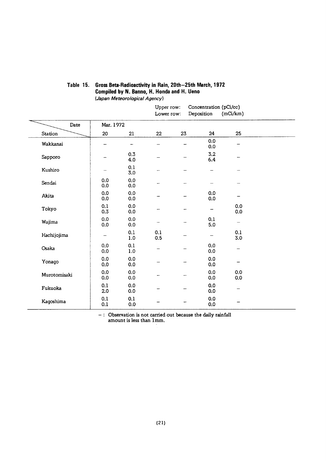|              |            |                |            | Upper row:<br>Lower row: | Concentration (pCi/cc)<br>Deposition | (mCi/km)   |  |
|--------------|------------|----------------|------------|--------------------------|--------------------------------------|------------|--|
| Date         | Mar. 1972  |                |            |                          |                                      |            |  |
| Station      | 20         | 21             | 22         | 23                       | 24                                   | 25         |  |
| Wakkanai     | --         |                |            |                          | 0.0<br>0.0                           |            |  |
| Sapporo      |            | 0.3<br>4.0     |            |                          | 3.2<br>6.4                           |            |  |
| Kushiro      |            | 0.1<br>3.0     |            |                          |                                      |            |  |
| Sendai       | 0.0<br>0.0 | 0.0<br>0.0     |            |                          |                                      |            |  |
| Akita        | 0.0<br>0.0 | 0.0<br>0.0     |            |                          | 0.0<br>0.0                           |            |  |
| Tokyo        | 0.1<br>0.3 | 0.0<br>0.0     |            |                          | $\overline{\phantom{m}}$             | 0.0<br>0.0 |  |
| Wajima       | 0.0<br>0.0 | 0.0<br>0.0     |            |                          | 0.1<br>5.0                           |            |  |
| Hachijojima  |            | 0.1<br>1.0     | 0.1<br>0.5 |                          | $\qquad \qquad \longleftarrow$       | 0.1<br>3.0 |  |
| Osaka        | 0.0<br>0.0 | 0.1<br>$1.0\,$ |            |                          | 0.0<br>0.0                           |            |  |
| Yonago       | 0.0<br>0.0 | 0.0<br>0.0     |            |                          | 0.0<br>0.0                           |            |  |
| Murotomisaki | 0.0<br>0.0 | 0.0<br>0.0     |            |                          | 0.0<br>0.0                           | 0.0<br>0.0 |  |
| Fukuoka      | 0.1<br>2.0 | 0.0<br>0.0     |            |                          | 0.0<br>0.0                           |            |  |
| Kagoshima    | 0.1<br>0.1 | 0.1<br>0.0     |            |                          | 0.0<br>0.0                           |            |  |

#### Table 15. Gross Beta-Radioactivity in Rain, 20th-25th March, 1972 Compiled by N. Banno, H. Honda and H. Ueno (Japan Meteorological Agency)

 $-$  : Observation is not carried out because the daily rainfall amount is less than  $1\,\mathrm{mm}$ .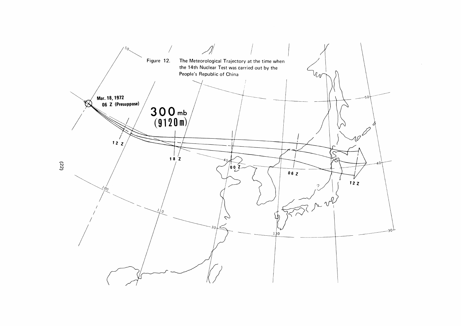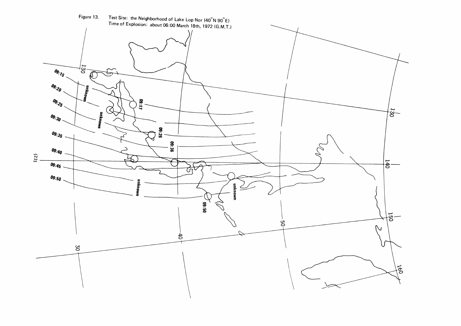